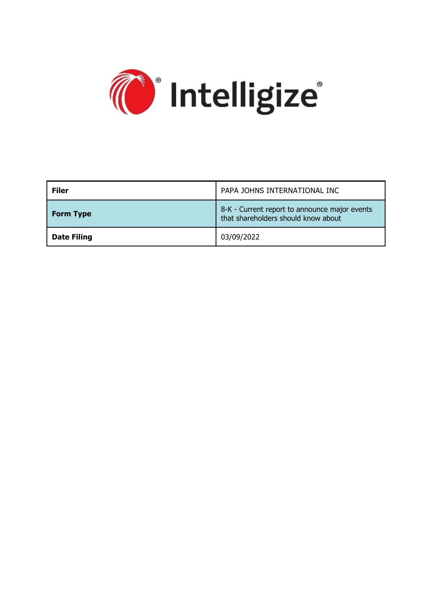

| <b>Filer</b>       | PAPA JOHNS INTERNATIONAL INC                                                         |
|--------------------|--------------------------------------------------------------------------------------|
| <b>Form Type</b>   | 8-K - Current report to announce major events<br>that shareholders should know about |
| <b>Date Filing</b> | 03/09/2022                                                                           |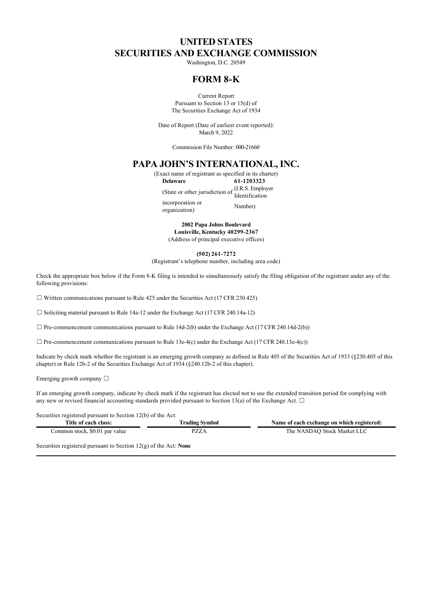## **UNITED STATES SECURITIES AND EXCHANGE COMMISSION**

Washington, D.C. 20549

### **FORM 8-K**

Current Report Pursuant to Section 13 or 15(d) of The Securities Exchange Act of 1934

Date of Report (Date of earliest event reported): March 9, 2022

Commission File Number: 000-21660

## **PAPA JOHN'S INTERNATIONAL, INC.**

(Exact name of registrant as specified in its charter) **Delaware 61-1203323** (State or other jurisdiction of (I.R.S. Employer Identification incorporation or ncorporation or<br>
organization) Number)

> **2002 Papa Johns Boulevard Louisville, Kentucky 40299-2367** (Address of principal executive offices)

> > **(502) 261-7272**

(Registrant's telephone number, including area code)

Check the appropriate box below if the Form 8-K filing is intended to simultaneously satisfy the filing obligation of the registrant under any of the following provisions:

 $\Box$  Written communications pursuant to Rule 425 under the Securities Act (17 CFR 230.425)

☐ Soliciting material pursuant to Rule 14a-12 under the Exchange Act (17 CFR 240.14a-12)

 $\Box$  Pre-commencement communications pursuant to Rule 14d-2(b) under the Exchange Act (17 CFR 240.14d-2(b))

 $\Box$  Pre-commencement communications pursuant to Rule 13e-4(c) under the Exchange Act (17 CFR 240.13e-4(c))

Indicate by check mark whether the registrant is an emerging growth company as defined in Rule 405 of the Securities Act of 1933 (§230.405 of this chapter) or Rule 12b-2 of the Securities Exchange Act of 1934 (§240.12b-2 of this chapter).

Emerging growth company  $\Box$ 

If an emerging growth company, indicate by check mark if the registrant has elected not to use the extended transition period for complying with any new or revised financial accounting standards provided pursuant to Section 13(a) of the Exchange Act.  $\Box$ 

Securities registered pursuant to Section 12(b) of the Act:

| Title of each class:           | <b>Trading Symbol</b> | Name of each exchange on which registered: |
|--------------------------------|-----------------------|--------------------------------------------|
| Common stock, \$0.01 par value | QZZA                  | The NASDAQ Stock Market LLC                |
|                                |                       |                                            |

Securities registered pursuant to Section 12(g) of the Act: **None**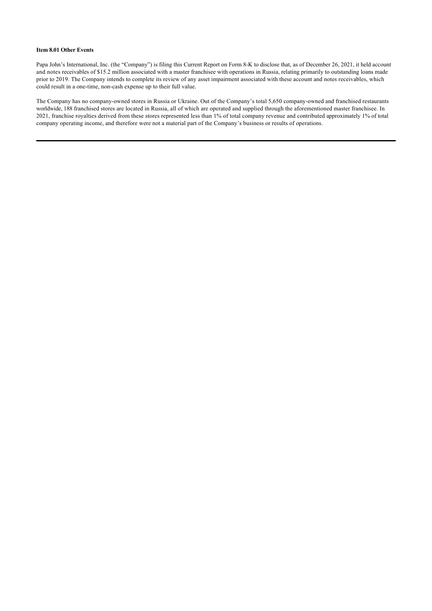#### **Item 8.01 Other Events**

Papa John's International, Inc. (the "Company") is filing this Current Report on Form 8-K to disclose that, as of December 26, 2021, it held account and notes receivables of \$15.2 million associated with a master franchisee with operations in Russia, relating primarily to outstanding loans made prior to 2019. The Company intends to complete its review of any asset impairment associated with these account and notes receivables, which could result in a one-time, non-cash expense up to their full value.

The Company has no company-owned stores in Russia or Ukraine. Out of the Company's total 5,650 company-owned and franchised restaurants worldwide, 188 franchised stores are located in Russia, all of which are operated and supplied through the aforementioned master franchisee. In 2021, franchise royalties derived from these stores represented less than 1% of total company revenue and contributed approximately 1% of total company operating income, and therefore were not a material part of the Company's business or results of operations.